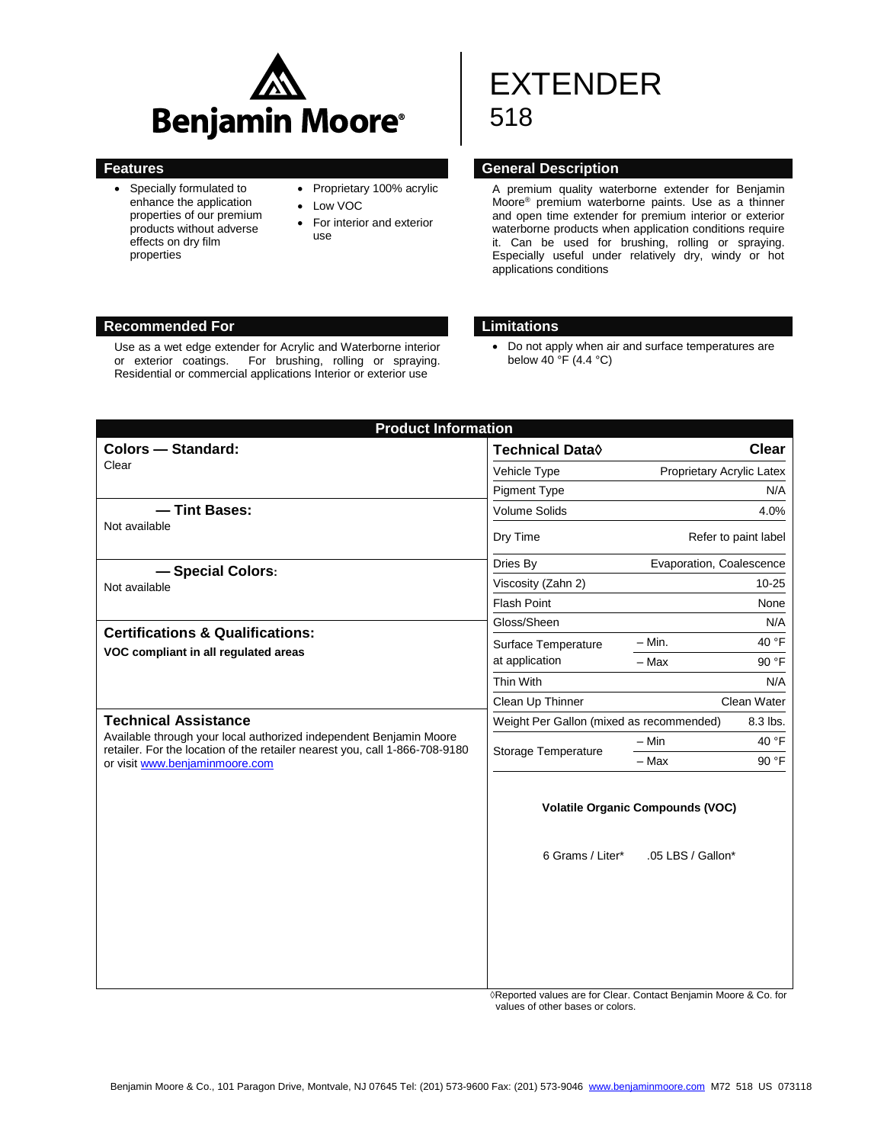

 Specially formulated to enhance the application properties of our premium products without adverse effects on dry film properties

# • Proprietary 100% acrylic

- Low VOC
- For interior and exterior use

# EXTENDER 518

#### **Features Features General Description**

A premium quality waterborne extender for Benjamin Moore® premium waterborne paints. Use as a thinner and open time extender for premium interior or exterior waterborne products when application conditions require it. Can be used for brushing, rolling or spraying. Especially useful under relatively dry, windy or hot applications conditions

# **Recommended For Limitations**

Use as a wet edge extender for Acrylic and Waterborne interior or exterior coatings. For brushing, rolling or spraying. Residential or commercial applications Interior or exterior use

 Do not apply when air and surface temperatures are below 40 °F (4.4 °C)

| <b>Product Information</b>                                                                                                                                                                                                                                              |                                                      |                           |             |  |  |
|-------------------------------------------------------------------------------------------------------------------------------------------------------------------------------------------------------------------------------------------------------------------------|------------------------------------------------------|---------------------------|-------------|--|--|
| <b>Colors - Standard:</b>                                                                                                                                                                                                                                               | <b>Technical Data</b> ♦                              |                           | Clear       |  |  |
| Clear                                                                                                                                                                                                                                                                   | Vehicle Type                                         | Proprietary Acrylic Latex |             |  |  |
|                                                                                                                                                                                                                                                                         | <b>Pigment Type</b>                                  | N/A                       |             |  |  |
| - Tint Bases:                                                                                                                                                                                                                                                           | <b>Volume Solids</b>                                 | 4.0%                      |             |  |  |
| Not available                                                                                                                                                                                                                                                           | Dry Time                                             | Refer to paint label      |             |  |  |
| -Special Colors:<br>Not available                                                                                                                                                                                                                                       | Dries By                                             | Evaporation, Coalescence  |             |  |  |
|                                                                                                                                                                                                                                                                         | Viscosity (Zahn 2)                                   | $10 - 25$                 |             |  |  |
|                                                                                                                                                                                                                                                                         | <b>Flash Point</b><br>None                           |                           |             |  |  |
| <b>Certifications &amp; Qualifications:</b><br>VOC compliant in all regulated areas<br><b>Technical Assistance</b><br>Available through your local authorized independent Benjamin Moore<br>retailer. For the location of the retailer nearest you, call 1-866-708-9180 | Gloss/Sheen                                          |                           | N/A         |  |  |
|                                                                                                                                                                                                                                                                         | Surface Temperature                                  | $-$ Min.                  | 40 °F       |  |  |
|                                                                                                                                                                                                                                                                         | at application                                       | - Max                     | 90 °F       |  |  |
|                                                                                                                                                                                                                                                                         | Thin With                                            |                           | N/A         |  |  |
|                                                                                                                                                                                                                                                                         | Clean Up Thinner                                     |                           | Clean Water |  |  |
|                                                                                                                                                                                                                                                                         | Weight Per Gallon (mixed as recommended)<br>8.3 lbs. |                           |             |  |  |
|                                                                                                                                                                                                                                                                         | Storage Temperature                                  | - Min                     | 40 °F       |  |  |
| or visit www.benjaminmoore.com                                                                                                                                                                                                                                          |                                                      | - Max                     | 90 °F       |  |  |
|                                                                                                                                                                                                                                                                         | <b>Volatile Organic Compounds (VOC)</b>              |                           |             |  |  |
|                                                                                                                                                                                                                                                                         | 6 Grams / Liter*                                     | .05 LBS / Gallon*         |             |  |  |
|                                                                                                                                                                                                                                                                         |                                                      |                           |             |  |  |

 ◊Reported values are for Clear. Contact Benjamin Moore & Co. for values of other bases or colors.